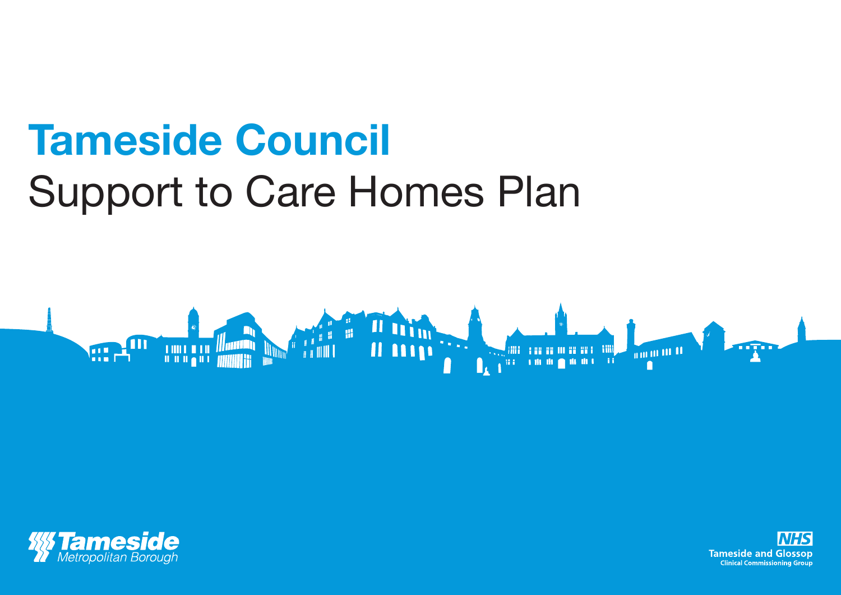## **Tameside Council** Support to Care Homes Plan





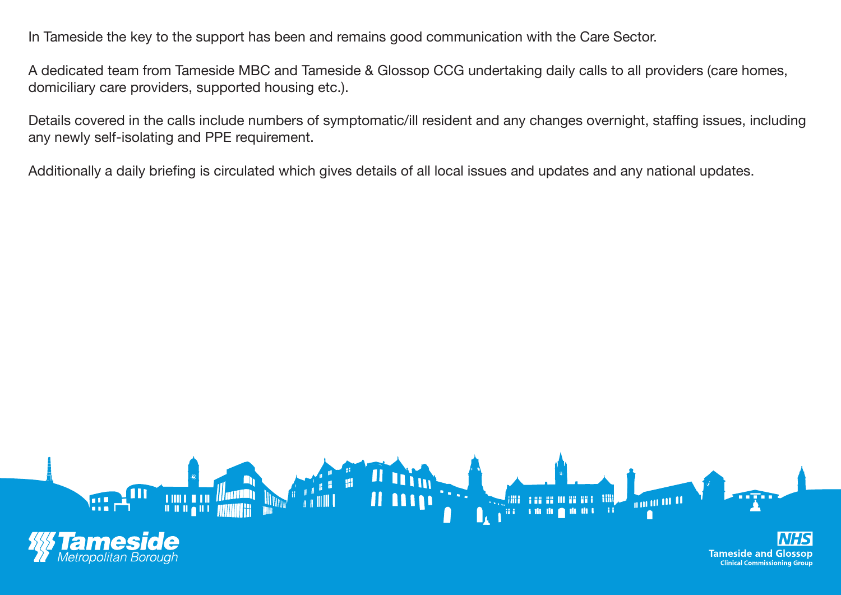In Tameside the key to the support has been and remains good communication with the Care Sector.

A dedicated team from Tameside MBC and Tameside & Glossop CCG undertaking daily calls to all providers (care homes, domiciliary care providers, supported housing etc.).

Details covered in the calls include numbers of symptomatic/ill resident and any changes overnight, staffing issues, including any newly self-isolating and PPE requirement.

Additionally a daily briefing is circulated which gives details of all local issues and updates and any national updates.

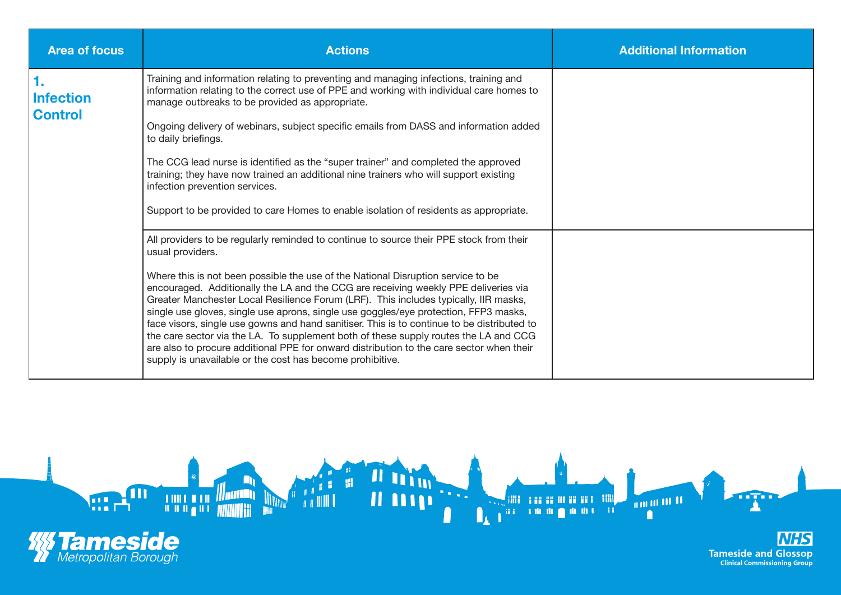| <b>Area of focus</b>                     | <b>Actions</b>                                                                                                                                                                                                                                                                                                                                                                                                                                                                                                                                                                                                                                                                                                                                                                                                        | <b>Additional Information</b> |
|------------------------------------------|-----------------------------------------------------------------------------------------------------------------------------------------------------------------------------------------------------------------------------------------------------------------------------------------------------------------------------------------------------------------------------------------------------------------------------------------------------------------------------------------------------------------------------------------------------------------------------------------------------------------------------------------------------------------------------------------------------------------------------------------------------------------------------------------------------------------------|-------------------------------|
| 1.<br><b>Infection</b><br><b>Control</b> | Training and information relating to preventing and managing infections, training and<br>information relating to the correct use of PPE and working with individual care homes to<br>manage outbreaks to be provided as appropriate.                                                                                                                                                                                                                                                                                                                                                                                                                                                                                                                                                                                  |                               |
|                                          | Ongoing delivery of webinars, subject specific emails from DASS and information added<br>to daily briefings.                                                                                                                                                                                                                                                                                                                                                                                                                                                                                                                                                                                                                                                                                                          |                               |
|                                          | The CCG lead nurse is identified as the "super trainer" and completed the approved<br>training; they have now trained an additional nine trainers who will support existing<br>infection prevention services.                                                                                                                                                                                                                                                                                                                                                                                                                                                                                                                                                                                                         |                               |
|                                          | Support to be provided to care Homes to enable isolation of residents as appropriate.                                                                                                                                                                                                                                                                                                                                                                                                                                                                                                                                                                                                                                                                                                                                 |                               |
|                                          | All providers to be regularly reminded to continue to source their PPE stock from their<br>usual providers.<br>Where this is not been possible the use of the National Disruption service to be<br>encouraged. Additionally the LA and the CCG are receiving weekly PPE deliveries via<br>Greater Manchester Local Resilience Forum (LRF). This includes typically, IIR masks,<br>single use gloves, single use aprons, single use goggles/eye protection, FFP3 masks,<br>face visors, single use gowns and hand sanitiser. This is to continue to be distributed to<br>the care sector via the LA. To supplement both of these supply routes the LA and CCG<br>are also to procure additional PPE for onward distribution to the care sector when their<br>supply is unavailable or the cost has become prohibitive. |                               |

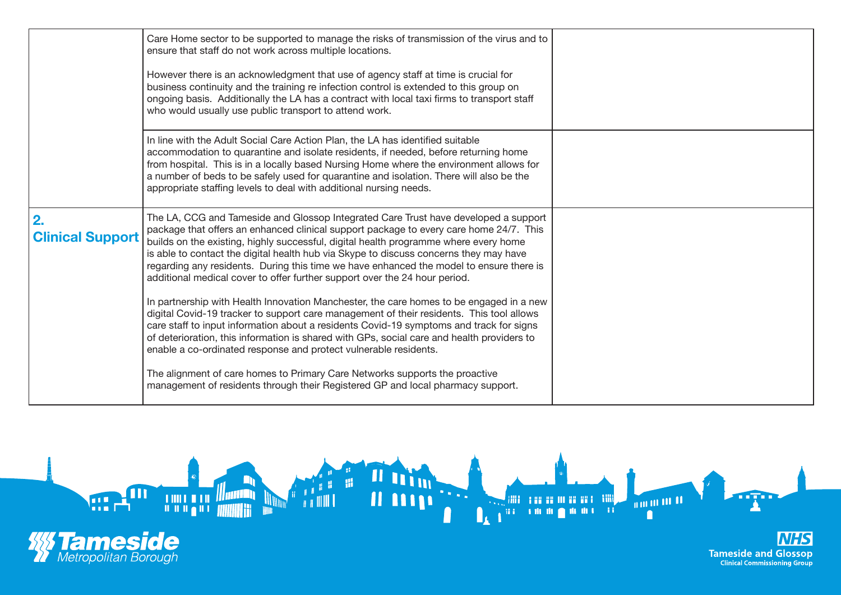|                               | Care Home sector to be supported to manage the risks of transmission of the virus and to<br>ensure that staff do not work across multiple locations.<br>However there is an acknowledgment that use of agency staff at time is crucial for<br>business continuity and the training re infection control is extended to this group on<br>ongoing basis. Additionally the LA has a contract with local taxi firms to transport staff<br>who would usually use public transport to attend work.                                                                                                                                                                                                                                                                                                                              |  |
|-------------------------------|---------------------------------------------------------------------------------------------------------------------------------------------------------------------------------------------------------------------------------------------------------------------------------------------------------------------------------------------------------------------------------------------------------------------------------------------------------------------------------------------------------------------------------------------------------------------------------------------------------------------------------------------------------------------------------------------------------------------------------------------------------------------------------------------------------------------------|--|
|                               | In line with the Adult Social Care Action Plan, the LA has identified suitable<br>accommodation to quarantine and isolate residents, if needed, before returning home<br>from hospital. This is in a locally based Nursing Home where the environment allows for<br>a number of beds to be safely used for quarantine and isolation. There will also be the<br>appropriate staffing levels to deal with additional nursing needs.                                                                                                                                                                                                                                                                                                                                                                                         |  |
| 2.<br><b>Clinical Support</b> | The LA, CCG and Tameside and Glossop Integrated Care Trust have developed a support<br>package that offers an enhanced clinical support package to every care home 24/7. This<br>builds on the existing, highly successful, digital health programme where every home<br>is able to contact the digital health hub via Skype to discuss concerns they may have<br>regarding any residents. During this time we have enhanced the model to ensure there is<br>additional medical cover to offer further support over the 24 hour period.<br>In partnership with Health Innovation Manchester, the care homes to be engaged in a new<br>digital Covid-19 tracker to support care management of their residents. This tool allows<br>care staff to input information about a residents Covid-19 symptoms and track for signs |  |
|                               | of deterioration, this information is shared with GPs, social care and health providers to<br>enable a co-ordinated response and protect vulnerable residents.<br>The alignment of care homes to Primary Care Networks supports the proactive<br>management of residents through their Registered GP and local pharmacy support.                                                                                                                                                                                                                                                                                                                                                                                                                                                                                          |  |

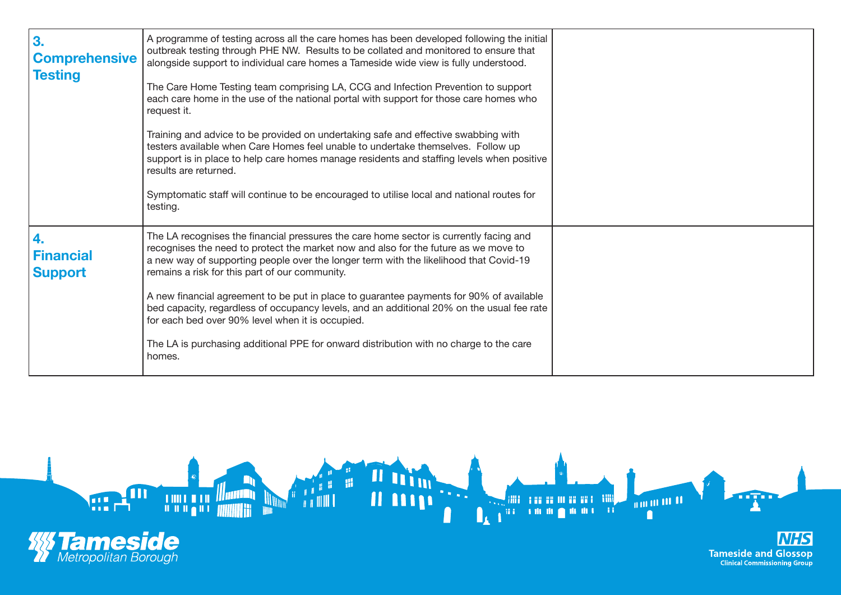| 3.<br><b>Comprehensive</b><br><b>Testing</b> | A programme of testing across all the care homes has been developed following the initial<br>outbreak testing through PHE NW. Results to be collated and monitored to ensure that<br>alongside support to individual care homes a Tameside wide view is fully understood.<br>The Care Home Testing team comprising LA, CCG and Infection Prevention to support<br>each care home in the use of the national portal with support for those care homes who<br>request it.<br>Training and advice to be provided on undertaking safe and effective swabbing with<br>testers available when Care Homes feel unable to undertake themselves. Follow up<br>support is in place to help care homes manage residents and staffing levels when positive<br>results are returned.<br>Symptomatic staff will continue to be encouraged to utilise local and national routes for<br>testing. |  |
|----------------------------------------------|----------------------------------------------------------------------------------------------------------------------------------------------------------------------------------------------------------------------------------------------------------------------------------------------------------------------------------------------------------------------------------------------------------------------------------------------------------------------------------------------------------------------------------------------------------------------------------------------------------------------------------------------------------------------------------------------------------------------------------------------------------------------------------------------------------------------------------------------------------------------------------|--|
| 4.<br><b>Financial</b><br><b>Support</b>     | The LA recognises the financial pressures the care home sector is currently facing and<br>recognises the need to protect the market now and also for the future as we move to<br>a new way of supporting people over the longer term with the likelihood that Covid-19<br>remains a risk for this part of our community.<br>A new financial agreement to be put in place to guarantee payments for 90% of available<br>bed capacity, regardless of occupancy levels, and an additional 20% on the usual fee rate<br>for each bed over 90% level when it is occupied.<br>The LA is purchasing additional PPE for onward distribution with no charge to the care<br>homes.                                                                                                                                                                                                         |  |

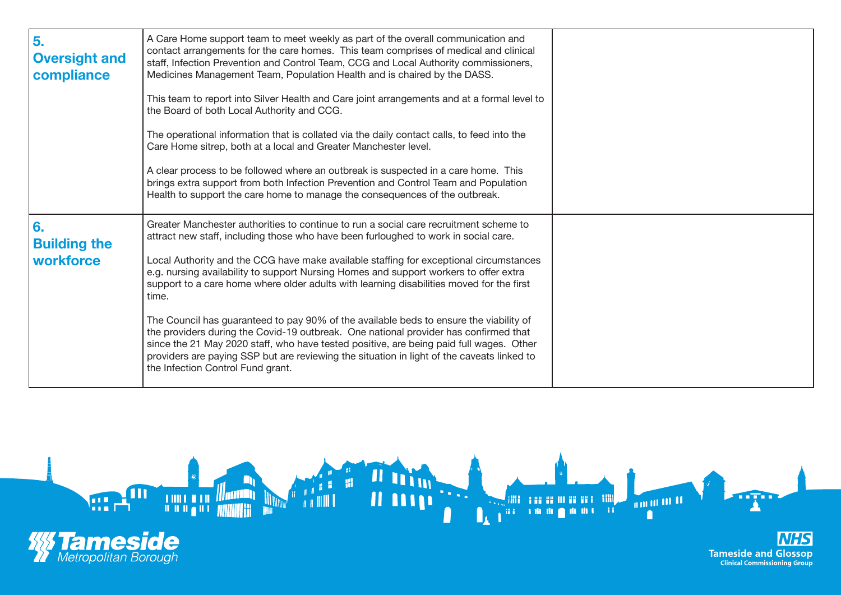| 5.<br><b>Oversight and</b><br>compliance | A Care Home support team to meet weekly as part of the overall communication and<br>contact arrangements for the care homes. This team comprises of medical and clinical<br>staff, Infection Prevention and Control Team, CCG and Local Authority commissioners,<br>Medicines Management Team, Population Health and is chaired by the DASS.<br>This team to report into Silver Health and Care joint arrangements and at a formal level to<br>the Board of both Local Authority and CCG.<br>The operational information that is collated via the daily contact calls, to feed into the<br>Care Home sitrep, both at a local and Greater Manchester level.<br>A clear process to be followed where an outbreak is suspected in a care home. This<br>brings extra support from both Infection Prevention and Control Team and Population<br>Health to support the care home to manage the consequences of the outbreak. |  |
|------------------------------------------|------------------------------------------------------------------------------------------------------------------------------------------------------------------------------------------------------------------------------------------------------------------------------------------------------------------------------------------------------------------------------------------------------------------------------------------------------------------------------------------------------------------------------------------------------------------------------------------------------------------------------------------------------------------------------------------------------------------------------------------------------------------------------------------------------------------------------------------------------------------------------------------------------------------------|--|
| 6.<br><b>Building the</b><br>workforce   | Greater Manchester authorities to continue to run a social care recruitment scheme to<br>attract new staff, including those who have been furloughed to work in social care.<br>Local Authority and the CCG have make available staffing for exceptional circumstances<br>e.g. nursing availability to support Nursing Homes and support workers to offer extra<br>support to a care home where older adults with learning disabilities moved for the first<br>time.<br>The Council has guaranteed to pay 90% of the available beds to ensure the viability of<br>the providers during the Covid-19 outbreak. One national provider has confirmed that<br>since the 21 May 2020 staff, who have tested positive, are being paid full wages. Other<br>providers are paying SSP but are reviewing the situation in light of the caveats linked to<br>the Infection Control Fund grant.                                   |  |



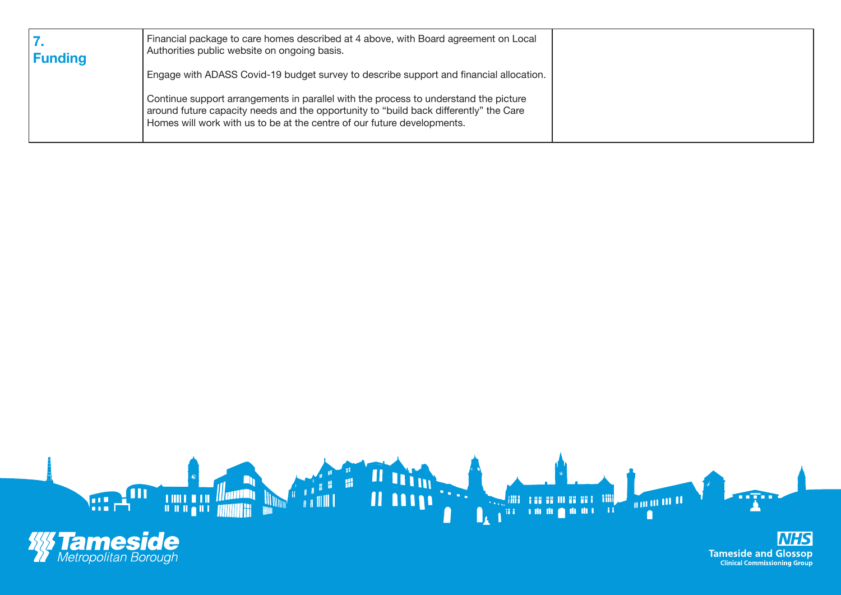| <b>Funding</b> | Financial package to care homes described at 4 above, with Board agreement on Local<br>Authorities public website on ongoing basis.                                                                                                                      |  |
|----------------|----------------------------------------------------------------------------------------------------------------------------------------------------------------------------------------------------------------------------------------------------------|--|
|                | Engage with ADASS Covid-19 budget survey to describe support and financial allocation.                                                                                                                                                                   |  |
|                | Continue support arrangements in parallel with the process to understand the picture<br>around future capacity needs and the opportunity to "build back differently" the Care<br>Homes will work with us to be at the centre of our future developments. |  |